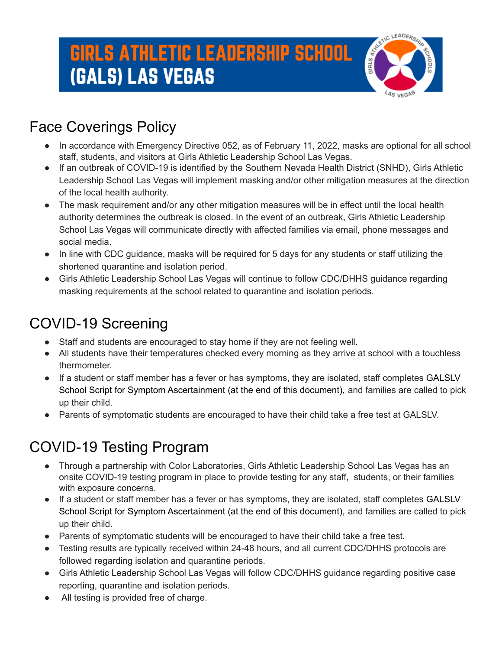

#### Face Coverings Policy

- In accordance with Emergency Directive 052, as of February 11, 2022, masks are optional for all school staff, students, and visitors at Girls Athletic Leadership School Las Vegas.
- If an outbreak of COVID-19 is identified by the Southern Nevada Health District (SNHD), Girls Athletic Leadership School Las Vegas will implement masking and/or other mitigation measures at the direction of the local health authority.
- The mask requirement and/or any other mitigation measures will be in effect until the local health authority determines the outbreak is closed. In the event of an outbreak, Girls Athletic Leadership School Las Vegas will communicate directly with affected families via email, phone messages and social media.
- In line with CDC quidance, masks will be required for 5 days for any students or staff utilizing the shortened quarantine and isolation period.
- Girls Athletic Leadership School Las Vegas will continue to follow CDC/DHHS guidance regarding masking requirements at the school related to quarantine and isolation periods.

#### COVID-19 Screening

- Staff and students are encouraged to stay home if they are not feeling well.
- All students have their temperatures checked every morning as they arrive at school with a touchless thermometer.
- If a student or staff member has a fever or has symptoms, they are isolated, staff completes GALSLV School Script for Symptom Ascertainment (at the end of this document), and families are called to pick up their child.
- Parents of symptomatic students are encouraged to have their child take a free test at GALSLV.

### COVID-19 Testing Program

- Through a partnership with Color Laboratories, Girls Athletic Leadership School Las Vegas has an onsite COVID-19 testing program in place to provide testing for any staff, students, or their families with exposure concerns.
- If a student or staff member has a fever or has symptoms, they are isolated, staff completes GALSLV School Script for Symptom Ascertainment (at the end of this document), and families are called to pick up their child.
- Parents of symptomatic students will be encouraged to have their child take a free test.
- Testing results are typically received within 24-48 hours, and all current CDC/DHHS protocols are followed regarding isolation and quarantine periods.
- Girls Athletic Leadership School Las Vegas will follow CDC/DHHS guidance regarding positive case reporting, quarantine and isolation periods.
- All testing is provided free of charge.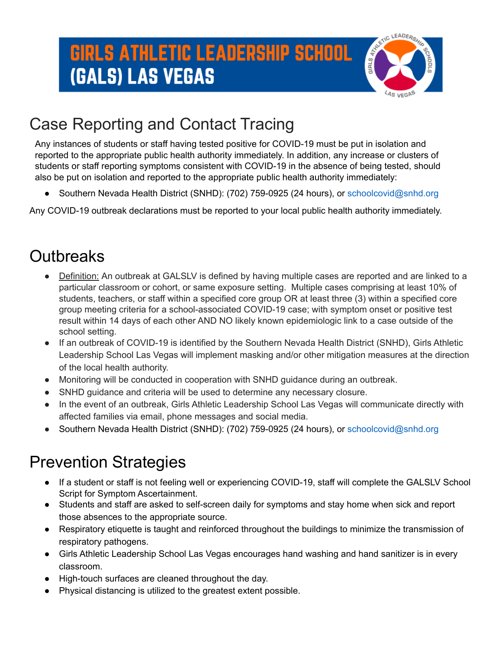

### Case Reporting and Contact Tracing

Any instances of students or staff having tested positive for COVID-19 must be put in isolation and reported to the appropriate public health authority immediately. In addition, any increase or clusters of students or staff reporting symptoms consistent with COVID-19 in the absence of being tested, should also be put on isolation and reported to the appropriate public health authority immediately:

Southern Nevada Health District (SNHD): (702) 759-0925 (24 hours), or schoolcovid@snhd.org

Any COVID-19 outbreak declarations must be reported to your local public health authority immediately.

### **Outbreaks**

- Definition: An outbreak at GALSLV is defined by having multiple cases are reported and are linked to a particular classroom or cohort, or same exposure setting. Multiple cases comprising at least 10% of students, teachers, or staff within a specified core group OR at least three (3) within a specified core group meeting criteria for a school-associated COVID-19 case; with symptom onset or positive test result within 14 days of each other AND NO likely known epidemiologic link to a case outside of the school setting.
- If an outbreak of COVID-19 is identified by the Southern Nevada Health District (SNHD), Girls Athletic Leadership School Las Vegas will implement masking and/or other mitigation measures at the direction of the local health authority.
- Monitoring will be conducted in cooperation with SNHD guidance during an outbreak.
- SNHD guidance and criteria will be used to determine any necessary closure.
- In the event of an outbreak, Girls Athletic Leadership School Las Vegas will communicate directly with affected families via email, phone messages and social media.
- Southern Nevada Health District (SNHD): (702) 759-0925 (24 hours), or schoolcovid@snhd.org

### Prevention Strategies

- If a student or staff is not feeling well or experiencing COVID-19, staff will complete the GALSLV School Script for Symptom Ascertainment.
- Students and staff are asked to self-screen daily for symptoms and stay home when sick and report those absences to the appropriate source.
- Respiratory etiquette is taught and reinforced throughout the buildings to minimize the transmission of respiratory pathogens.
- Girls Athletic Leadership School Las Vegas encourages hand washing and hand sanitizer is in every classroom.
- High-touch surfaces are cleaned throughout the day.
- Physical distancing is utilized to the greatest extent possible.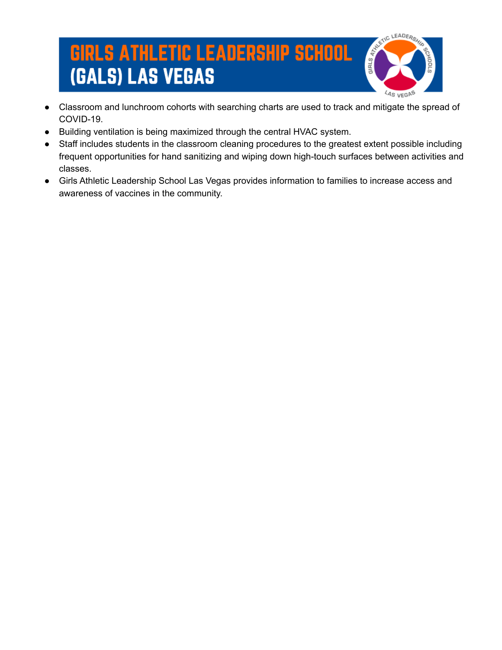

- Classroom and lunchroom cohorts with searching charts are used to track and mitigate the spread of COVID-19.
- Building ventilation is being maximized through the central HVAC system.
- Staff includes students in the classroom cleaning procedures to the greatest extent possible including frequent opportunities for hand sanitizing and wiping down high-touch surfaces between activities and classes.
- Girls Athletic Leadership School Las Vegas provides information to families to increase access and awareness of vaccines in the community.